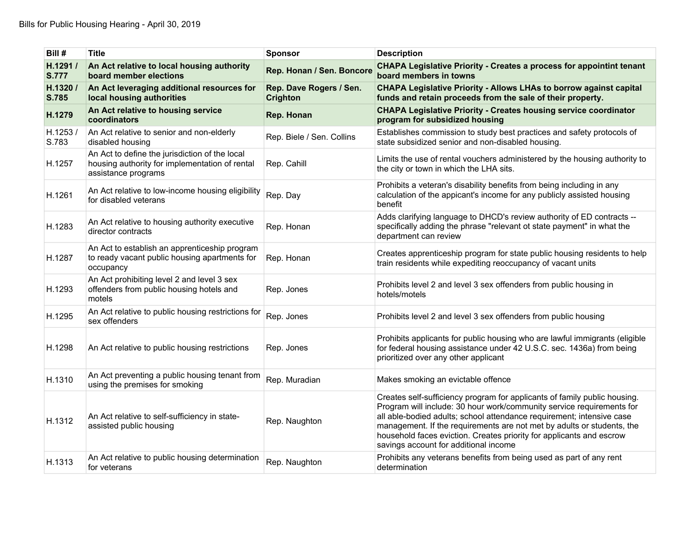| Bill #                   | <b>Title</b>                                                                                                            | <b>Sponsor</b>                             | <b>Description</b>                                                                                                                                                                                                                                                                                                                                                                                                     |
|--------------------------|-------------------------------------------------------------------------------------------------------------------------|--------------------------------------------|------------------------------------------------------------------------------------------------------------------------------------------------------------------------------------------------------------------------------------------------------------------------------------------------------------------------------------------------------------------------------------------------------------------------|
| H.1291/<br><b>S.777</b>  | An Act relative to local housing authority<br>board member elections                                                    | Rep. Honan / Sen. Boncore                  | <b>CHAPA Legislative Priority - Creates a process for appointint tenant</b><br>board members in towns                                                                                                                                                                                                                                                                                                                  |
| H.1320 /<br><b>S.785</b> | An Act leveraging additional resources for<br>local housing authorities                                                 | Rep. Dave Rogers / Sen.<br><b>Crighton</b> | <b>CHAPA Legislative Priority - Allows LHAs to borrow against capital</b><br>funds and retain proceeds from the sale of their property.                                                                                                                                                                                                                                                                                |
| H.1279                   | An Act relative to housing service<br>coordinators                                                                      | Rep. Honan                                 | <b>CHAPA Legislative Priority - Creates housing service coordinator</b><br>program for subsidized housing                                                                                                                                                                                                                                                                                                              |
| H.1253/<br>S.783         | An Act relative to senior and non-elderly<br>disabled housing                                                           | Rep. Biele / Sen. Collins                  | Establishes commission to study best practices and safety protocols of<br>state subsidized senior and non-disabled housing.                                                                                                                                                                                                                                                                                            |
| H.1257                   | An Act to define the jurisdiction of the local<br>housing authority for implementation of rental<br>assistance programs | Rep. Cahill                                | Limits the use of rental vouchers administered by the housing authority to<br>the city or town in which the LHA sits.                                                                                                                                                                                                                                                                                                  |
| H.1261                   | An Act relative to low-income housing eligibility<br>for disabled veterans                                              | Rep. Day                                   | Prohibits a veteran's disability benefits from being including in any<br>calculation of the appicant's income for any publicly assisted housing<br>benefit                                                                                                                                                                                                                                                             |
| H.1283                   | An Act relative to housing authority executive<br>director contracts                                                    | Rep. Honan                                 | Adds clarifying language to DHCD's review authority of ED contracts --<br>specifically adding the phrase "relevant ot state payment" in what the<br>department can review                                                                                                                                                                                                                                              |
| H.1287                   | An Act to establish an apprenticeship program<br>to ready vacant public housing apartments for<br>occupancy             | Rep. Honan                                 | Creates apprenticeship program for state public housing residents to help<br>train residents while expediting reoccupancy of vacant units                                                                                                                                                                                                                                                                              |
| H.1293                   | An Act prohibiting level 2 and level 3 sex<br>offenders from public housing hotels and<br>motels                        | Rep. Jones                                 | Prohibits level 2 and level 3 sex offenders from public housing in<br>hotels/motels                                                                                                                                                                                                                                                                                                                                    |
| H.1295                   | An Act relative to public housing restrictions for<br>sex offenders                                                     | Rep. Jones                                 | Prohibits level 2 and level 3 sex offenders from public housing                                                                                                                                                                                                                                                                                                                                                        |
| H.1298                   | An Act relative to public housing restrictions                                                                          | Rep. Jones                                 | Prohibits applicants for public housing who are lawful immigrants (eligible<br>for federal housing assistance under 42 U.S.C. sec. 1436a) from being<br>prioritized over any other applicant                                                                                                                                                                                                                           |
| H.1310                   | An Act preventing a public housing tenant from<br>using the premises for smoking                                        | Rep. Muradian                              | Makes smoking an evictable offence                                                                                                                                                                                                                                                                                                                                                                                     |
| H.1312                   | An Act relative to self-sufficiency in state-<br>assisted public housing                                                | Rep. Naughton                              | Creates self-sufficiency program for applicants of family public housing.<br>Program will include: 30 hour work/community service requirements for<br>all able-bodied adults; school attendance requirement; intensive case<br>management. If the requirements are not met by adults or students, the<br>household faces eviction. Creates priority for applicants and escrow<br>savings account for additional income |
| H.1313                   | An Act relative to public housing determination<br>for veterans                                                         | Rep. Naughton                              | Prohibits any veterans benefits from being used as part of any rent<br>determination                                                                                                                                                                                                                                                                                                                                   |